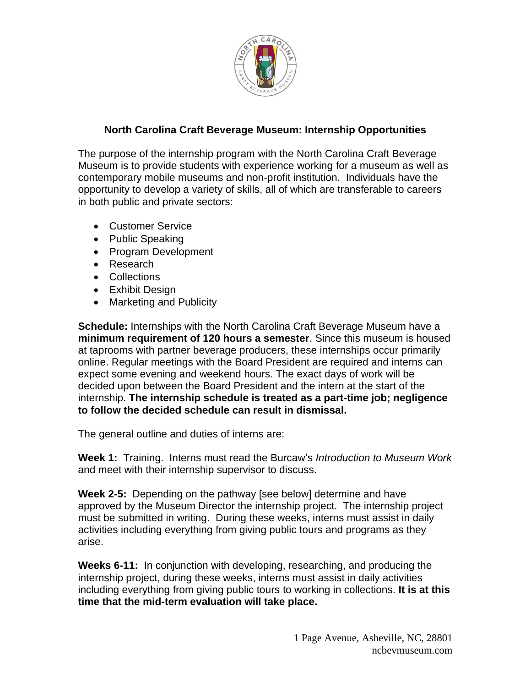

# **North Carolina Craft Beverage Museum: Internship Opportunities**

The purpose of the internship program with the North Carolina Craft Beverage Museum is to provide students with experience working for a museum as well as contemporary mobile museums and non-profit institution. Individuals have the opportunity to develop a variety of skills, all of which are transferable to careers in both public and private sectors:

- Customer Service
- Public Speaking
- Program Development
- Research
- Collections
- Exhibit Design
- Marketing and Publicity

**Schedule:** Internships with the North Carolina Craft Beverage Museum have a **minimum requirement of 120 hours a semester**. Since this museum is housed at taprooms with partner beverage producers, these internships occur primarily online. Regular meetings with the Board President are required and interns can expect some evening and weekend hours. The exact days of work will be decided upon between the Board President and the intern at the start of the internship. **The internship schedule is treated as a part-time job; negligence to follow the decided schedule can result in dismissal.**

The general outline and duties of interns are:

**Week 1:** Training. Interns must read the Burcaw's *Introduction to Museum Work*  and meet with their internship supervisor to discuss.

**Week 2-5:** Depending on the pathway [see below] determine and have approved by the Museum Director the internship project. The internship project must be submitted in writing. During these weeks, interns must assist in daily activities including everything from giving public tours and programs as they arise.

**Weeks 6-11:** In conjunction with developing, researching, and producing the internship project, during these weeks, interns must assist in daily activities including everything from giving public tours to working in collections. **It is at this time that the mid-term evaluation will take place.**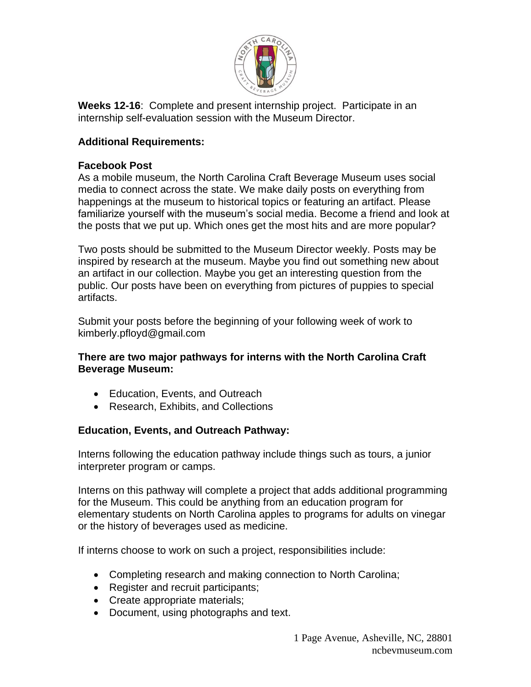

**Weeks 12-16**: Complete and present internship project. Participate in an internship self-evaluation session with the Museum Director.

# **Additional Requirements:**

#### **Facebook Post**

As a mobile museum, the North Carolina Craft Beverage Museum uses social media to connect across the state. We make daily posts on everything from happenings at the museum to historical topics or featuring an artifact. Please familiarize yourself with the museum's social media. Become a friend and look at the posts that we put up. Which ones get the most hits and are more popular?

Two posts should be submitted to the Museum Director weekly. Posts may be inspired by research at the museum. Maybe you find out something new about an artifact in our collection. Maybe you get an interesting question from the public. Our posts have been on everything from pictures of puppies to special artifacts.

Submit your posts before the beginning of your following week of work to kimberly.pfloyd@gmail.com

#### **There are two major pathways for interns with the North Carolina Craft Beverage Museum:**

- Education, Events, and Outreach
- Research, Exhibits, and Collections

### **Education, Events, and Outreach Pathway:**

Interns following the education pathway include things such as tours, a junior interpreter program or camps.

Interns on this pathway will complete a project that adds additional programming for the Museum. This could be anything from an education program for elementary students on North Carolina apples to programs for adults on vinegar or the history of beverages used as medicine.

If interns choose to work on such a project, responsibilities include:

- Completing research and making connection to North Carolina;
- Register and recruit participants;
- Create appropriate materials;
- Document, using photographs and text.